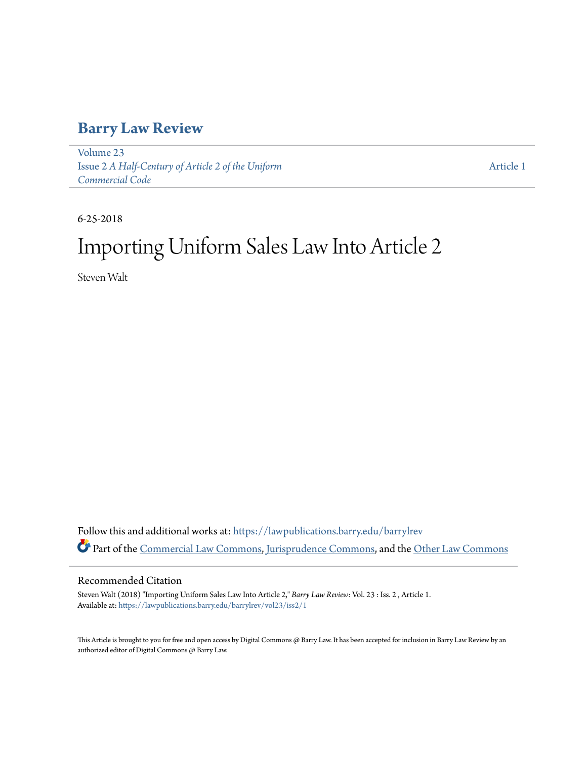# **[Barry Law Review](https://lawpublications.barry.edu/barrylrev?utm_source=lawpublications.barry.edu%2Fbarrylrev%2Fvol23%2Fiss2%2F1&utm_medium=PDF&utm_campaign=PDFCoverPages)**

[Volume 23](https://lawpublications.barry.edu/barrylrev/vol23?utm_source=lawpublications.barry.edu%2Fbarrylrev%2Fvol23%2Fiss2%2F1&utm_medium=PDF&utm_campaign=PDFCoverPages) Issue 2 *[A Half-Century of Article 2 of the Uniform](https://lawpublications.barry.edu/barrylrev/vol23/iss2?utm_source=lawpublications.barry.edu%2Fbarrylrev%2Fvol23%2Fiss2%2F1&utm_medium=PDF&utm_campaign=PDFCoverPages) [Commercial Code](https://lawpublications.barry.edu/barrylrev/vol23/iss2?utm_source=lawpublications.barry.edu%2Fbarrylrev%2Fvol23%2Fiss2%2F1&utm_medium=PDF&utm_campaign=PDFCoverPages)*

[Article 1](https://lawpublications.barry.edu/barrylrev/vol23/iss2/1?utm_source=lawpublications.barry.edu%2Fbarrylrev%2Fvol23%2Fiss2%2F1&utm_medium=PDF&utm_campaign=PDFCoverPages)

6-25-2018

# Importing Uniform Sales Law Into Article 2

Steven Walt

Follow this and additional works at: [https://lawpublications.barry.edu/barrylrev](https://lawpublications.barry.edu/barrylrev?utm_source=lawpublications.barry.edu%2Fbarrylrev%2Fvol23%2Fiss2%2F1&utm_medium=PDF&utm_campaign=PDFCoverPages) Part of the [Commercial Law Commons](http://network.bepress.com/hgg/discipline/586?utm_source=lawpublications.barry.edu%2Fbarrylrev%2Fvol23%2Fiss2%2F1&utm_medium=PDF&utm_campaign=PDFCoverPages), [Jurisprudence Commons,](http://network.bepress.com/hgg/discipline/610?utm_source=lawpublications.barry.edu%2Fbarrylrev%2Fvol23%2Fiss2%2F1&utm_medium=PDF&utm_campaign=PDFCoverPages) and the [Other Law Commons](http://network.bepress.com/hgg/discipline/621?utm_source=lawpublications.barry.edu%2Fbarrylrev%2Fvol23%2Fiss2%2F1&utm_medium=PDF&utm_campaign=PDFCoverPages)

# Recommended Citation

Steven Walt (2018) "Importing Uniform Sales Law Into Article 2," *Barry Law Review*: Vol. 23 : Iss. 2 , Article 1. Available at: [https://lawpublications.barry.edu/barrylrev/vol23/iss2/1](https://lawpublications.barry.edu/barrylrev/vol23/iss2/1?utm_source=lawpublications.barry.edu%2Fbarrylrev%2Fvol23%2Fiss2%2F1&utm_medium=PDF&utm_campaign=PDFCoverPages)

This Article is brought to you for free and open access by Digital Commons @ Barry Law. It has been accepted for inclusion in Barry Law Review by an authorized editor of Digital Commons @ Barry Law.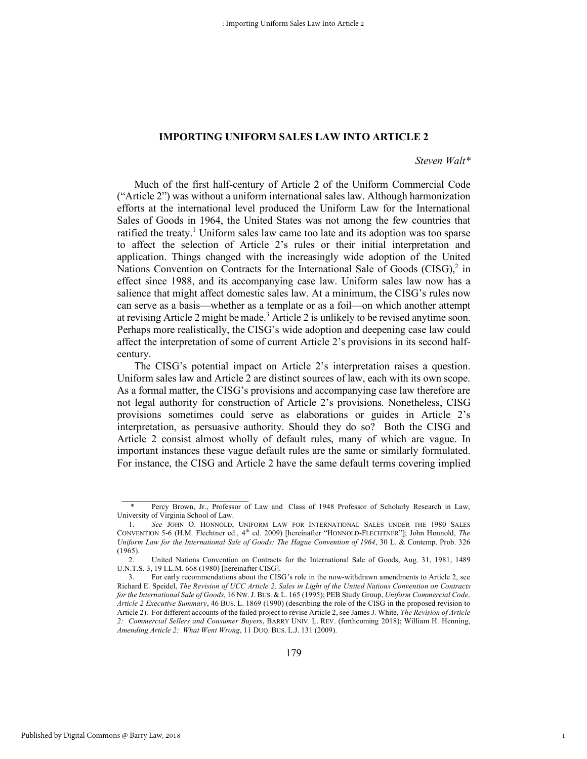# **IMPORTING UNIFORM SALES LAW INTO ARTICLE 2**

# *Steven Walt\**

1

Much of the first half-century of Article 2 of the Uniform Commercial Code ("Article 2") was without a uniform international sales law. Although harmonization efforts at the international level produced the Uniform Law for the International Sales of Goods in 1964, the United States was not among the few countries that ratified the treaty.<sup>1</sup> Uniform sales law came too late and its adoption was too sparse to affect the selection of Article 2's rules or their initial interpretation and application. Things changed with the increasingly wide adoption of the United Nations Convention on Contracts for the International Sale of Goods  $(CISG)<sup>2</sup>$  in effect since 1988, and its accompanying case law. Uniform sales law now has a salience that might affect domestic sales law. At a minimum, the CISG's rules now can serve as a basis—whether as a template or as a foil—on which another attempt at revising Article 2 might be made.<sup>3</sup> Article 2 is unlikely to be revised anytime soon. Perhaps more realistically, the CISG's wide adoption and deepening case law could affect the interpretation of some of current Article 2's provisions in its second halfcentury.

The CISG's potential impact on Article 2's interpretation raises a question. Uniform sales law and Article 2 are distinct sources of law, each with its own scope. As a formal matter, the CISG's provisions and accompanying case law therefore are not legal authority for construction of Article 2's provisions. Nonetheless, CISG provisions sometimes could serve as elaborations or guides in Article 2's interpretation, as persuasive authority. Should they do so? Both the CISG and Article 2 consist almost wholly of default rules, many of which are vague. In important instances these vague default rules are the same or similarly formulated. For instance, the CISG and Article 2 have the same default terms covering implied

Percy Brown, Jr., Professor of Law and Class of 1948 Professor of Scholarly Research in Law, University of Virginia School of Law.

<sup>1.</sup> *See* JOHN O. HONNOLD, UNIFORM LAW FOR INTERNATIONAL SALES UNDER THE 1980 SALES CONVENTION 5-6 (H.M. Flechtner ed., 4<sup>th</sup> ed. 2009) [hereinafter "HONNOLD-FLECHTNER"]; John Honnold, *The Uniform Law for the International Sale of Goods: The Hague Convention of 1964*, 30 L. & Contemp. Prob. 326 (1965).

<sup>2.</sup> United Nations Convention on Contracts for the International Sale of Goods, Aug. 31, 1981, 1489 U.N.T.S. 3, 19 I.L.M. 668 (1980) [hereinafter CISG].

<sup>3.</sup> For early recommendations about the CISG's role in the now-withdrawn amendments to Article 2, see Richard E. Speidel, *The Revision of UCC Article 2, Sales in Light of the United Nations Convention on Contracts for the International Sale of Goods*, 16 NW.J. BUS. & L. 165 (1995); PEB Study Group, *Uniform Commercial Code, Article 2 Executive Summary*, 46 BUS. L. 1869 (1990) (describing the role of the CISG in the proposed revision to Article 2). For different accounts of the failed project to revise Article 2, see James J. White, *The Revision of Article 2: Commercial Sellers and Consumer Buyers*, BARRY UNIV. L. REV. (forthcoming 2018); William H. Henning, *Amending Article 2: What Went Wrong*, 11 DUQ. BUS. L.J. 131 (2009).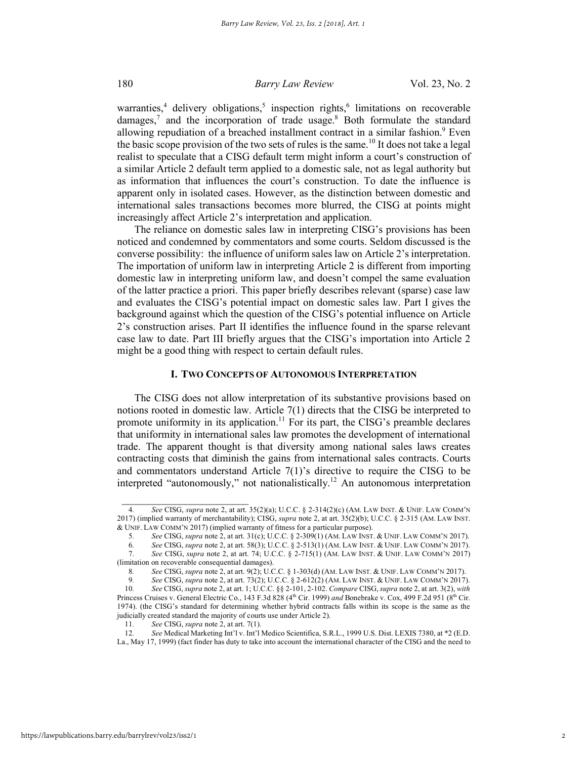warranties,<sup>4</sup> delivery obligations,<sup>5</sup> inspection rights,<sup>6</sup> limitations on recoverable damages, $<sup>7</sup>$  and the incorporation of trade usage.<sup>8</sup> Both formulate the standard</sup> allowing repudiation of a breached installment contract in a similar fashion.<sup>9</sup> Even the basic scope provision of the two sets of rules is the same.<sup>10</sup> It does not take a legal realist to speculate that a CISG default term might inform a court's construction of a similar Article 2 default term applied to a domestic sale, not as legal authority but as information that influences the court's construction. To date the influence is apparent only in isolated cases. However, as the distinction between domestic and international sales transactions becomes more blurred, the CISG at points might increasingly affect Article 2's interpretation and application.

The reliance on domestic sales law in interpreting CISG's provisions has been noticed and condemned by commentators and some courts. Seldom discussed is the converse possibility: the influence of uniform sales law on Article 2's interpretation. The importation of uniform law in interpreting Article 2 is different from importing domestic law in interpreting uniform law, and doesn't compel the same evaluation of the latter practice a priori. This paper briefly describes relevant (sparse) case law and evaluates the CISG's potential impact on domestic sales law. Part I gives the background against which the question of the CISG's potential influence on Article 2's construction arises. Part II identifies the influence found in the sparse relevant case law to date. Part III briefly argues that the CISG's importation into Article 2 might be a good thing with respect to certain default rules.

# **I. TWO CONCEPTS OF AUTONOMOUS INTERPRETATION**

The CISG does not allow interpretation of its substantive provisions based on notions rooted in domestic law. Article 7(1) directs that the CISG be interpreted to promote uniformity in its application.<sup>11</sup> For its part, the CISG's preamble declares that uniformity in international sales law promotes the development of international trade. The apparent thought is that diversity among national sales laws creates contracting costs that diminish the gains from international sales contracts. Courts and commentators understand Article 7(1)'s directive to require the CISG to be interpreted "autonomously," not nationalistically.<sup>12</sup> An autonomous interpretation

<sup>4</sup>*. See* CISG, *supra* note 2, at art. 35(2)(a); U.C.C. § 2-314(2)(c) (AM. LAW INST. & UNIF. LAW COMM'N 2017) (implied warranty of merchantability); CISG, *supra* note 2, at art. 35(2)(b); U.C.C. § 2-315 (AM. LAW INST. & UNIF. LAW COMM'N 2017) (implied warranty of fitness for a particular purpose).

<sup>5</sup>*. See* CISG, *supra* note 2, at art. 31(c); U.C.C. § 2-309(1) (AM. LAW INST. & UNIF. LAW COMM'N 2017).

<sup>6</sup>*. See* CISG, *supra* note 2, at art. 58(3); U.C.C. § 2-513(1) (AM. LAW INST. & UNIF. LAW COMM'N 2017).

<sup>7.</sup> *See* CISG, *supra* note 2, at art. 74; U.C.C. § 2-715(1) (AM. LAW INST. & UNIF. LAW COMM'N 2017) (limitation on recoverable consequential damages).

<sup>8</sup>*. See* CISG, *supra* note 2, at art. 9(2); U.C.C. § 1-303(d) (AM. LAW INST. & UNIF. LAW COMM'N 2017).

<sup>9</sup>*. See* CISG, *supra* note 2, at art. 73(2); U.C.C. § 2-612(2) (AM. LAW INST. & UNIF. LAW COMM'N 2017).

<sup>10</sup>*. See* CISG, *supra* note 2, at art. 1; U.C.C. §§ 2-101, 2-102. *Compare* CISG, *supra* note 2, at art. 3(2), *with* Princess Cruises v. General Electric Co., 143 F.3d 828 (4<sup>th</sup> Cir. 1999) *and* Bonebrake v. Cox, 499 F.2d 951 (8<sup>th</sup> Cir. 1974). (the CISG's standard for determining whether hybrid contracts falls within its scope is the same as the judicially created standard the majority of courts use under Article 2).

<sup>11.</sup> *See* CISG, *supra* note 2, at art. 7(1).<br>12. *See* Medical Marketing Int'l v. Int'l.

<sup>12</sup>*. See* Medical Marketing Int'l v. Int'l Medico Scientifica, S.R.L., 1999 U.S. Dist. LEXIS 7380, at \*2 (E.D. La., May 17, 1999) (fact finder has duty to take into account the international character of the CISG and the need to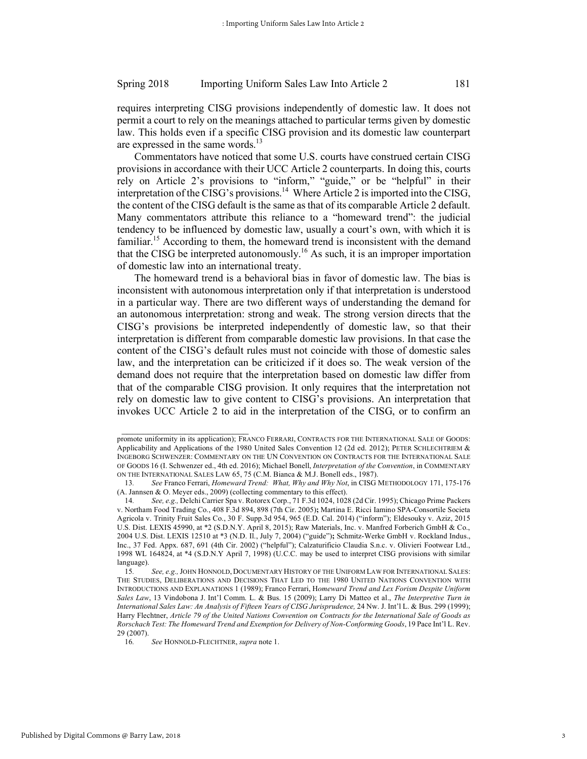requires interpreting CISG provisions independently of domestic law. It does not permit a court to rely on the meanings attached to particular terms given by domestic law. This holds even if a specific CISG provision and its domestic law counterpart are expressed in the same words. $13$ 

Commentators have noticed that some U.S. courts have construed certain CISG provisions in accordance with their UCC Article 2 counterparts. In doing this, courts rely on Article 2's provisions to "inform," "guide," or be "helpful" in their interpretation of the CISG's provisions.<sup>14</sup> Where Article 2 is imported into the CISG, the content of the CISG default is the same as that of its comparable Article 2 default. Many commentators attribute this reliance to a "homeward trend": the judicial tendency to be influenced by domestic law, usually a court's own, with which it is familiar.<sup>15</sup> According to them, the homeward trend is inconsistent with the demand that the CISG be interpreted autonomously.<sup>16</sup> As such, it is an improper importation of domestic law into an international treaty.

The homeward trend is a behavioral bias in favor of domestic law. The bias is inconsistent with autonomous interpretation only if that interpretation is understood in a particular way. There are two different ways of understanding the demand for an autonomous interpretation: strong and weak. The strong version directs that the CISG's provisions be interpreted independently of domestic law, so that their interpretation is different from comparable domestic law provisions. In that case the content of the CISG's default rules must not coincide with those of domestic sales law, and the interpretation can be criticized if it does so. The weak version of the demand does not require that the interpretation based on domestic law differ from that of the comparable CISG provision. It only requires that the interpretation not rely on domestic law to give content to CISG's provisions. An interpretation that invokes UCC Article 2 to aid in the interpretation of the CISG, or to confirm an

promote uniformity in its application); FRANCO FERRARI, CONTRACTS FOR THE INTERNATIONAL SALE OF GOODS: Applicability and Applications of the 1980 United Sales Convention 12 (2d ed. 2012); PETER SCHLECHTRIEM & INGEBORG SCHWENZER: COMMENTARY ON THE UN CONVENTION ON CONTRACTS FOR THE INTERNATIONAL SALE OF GOODS 16 (I. Schwenzer ed., 4th ed. 2016); Michael Bonell, *Interpretation of the Convention*, in COMMENTARY ON THE INTERNATIONAL SALES LAW 65, 75 (C.M. Bianca & M.J. Bonell eds., 1987).

<sup>13</sup>*. See* Franco Ferrari, *Homeward Trend: What, Why and Why Not*, in CISG METHODOLOGY 171, 175-176 (A. Jannsen & O. Meyer eds., 2009) (collecting commentary to this effect).

<sup>14</sup>*. See, e.g.,* Delchi Carrier Spa v. Rotorex Corp., 71 F.3d 1024, 1028 (2d Cir. 1995); Chicago Prime Packers v. Northam Food Trading Co., 408 F.3d 894, 898 (7th Cir. 2005)**;** Martina E. Ricci Iamino SPA-Consortile Societa Agricola v. Trinity Fruit Sales Co., 30 F. Supp.3d 954, 965 (E.D. Cal. 2014) ("inform"); Eldesouky v. Aziz, 2015 U.S. Dist. LEXIS 45990, at \*2 (S.D.N.Y. April 8, 2015); Raw Materials, Inc. v. Manfred Forberich GmbH & Co., 2004 U.S. Dist. LEXIS 12510 at \*3 (N.D. Il., July 7, 2004) ("guide")**;** Schmitz-Werke GmbH v. Rockland Indus., Inc., 37 Fed. Appx. 687, 691 (4th Cir. 2002) ("helpful"); Calzaturificio Claudia S.n.c. v. Olivieri Footwear Ltd., 1998 WL 164824, at \*4 (S.D.N.Y April 7, 1998) (U.C.C. may be used to interpret CISG provisions with similar language).

<sup>15</sup>*. See, e.g.,*JOHN HONNOLD,DOCUMENTARY HISTORY OF THE UNIFORM LAW FOR INTERNATIONAL SALES: THE STUDIES, DELIBERATIONS AND DECISIONS THAT LED TO THE 1980 UNITED NATIONS CONVENTION WITH INTRODUCTIONS AND EXPLANATIONS 1 (1989); Franco Ferrari, H*omeward Trend and Lex Forism Despite Uniform Sales Law*, 13 Vindobona J. Int'l Comm. L. & Bus. 15 (2009); Larry Di Matteo et al., *The Interpretive Turn in International Sales Law: An Analysis of Fifteen Years of CISG Jurisprudence,* 24 Nw. J. Int'l L. & Bus. 299 (1999); Harry Flechtner, *Article 79 of the United Nations Convention on Contracts for the International Sale of Goods as Rorschach Test: The Homeward Trend and Exemption for Delivery of Non-Conforming Goods*, 19 Pace Int'l L. Rev. 29 (2007).

<sup>16</sup>*. See* HONNOLD-FLECHTNER, *supra* note 1.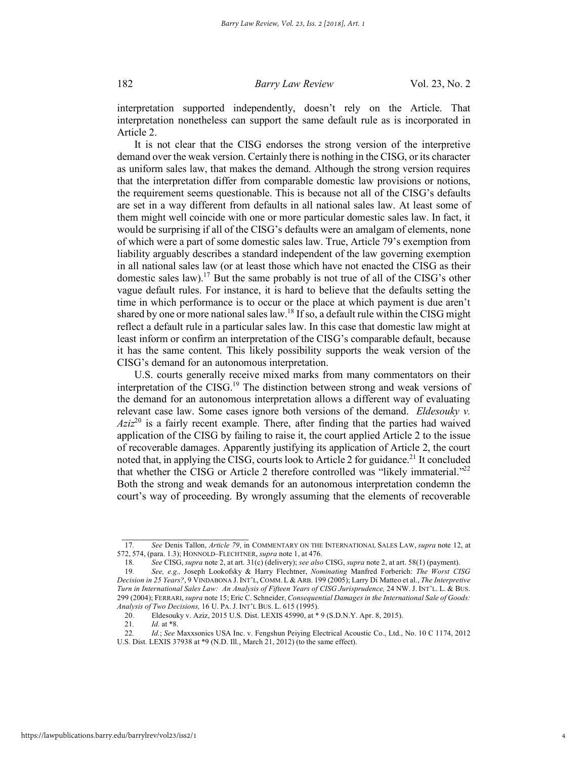interpretation supported independently, doesn't rely on the Article. That interpretation nonetheless can support the same default rule as is incorporated in Article 2.

It is not clear that the CISG endorses the strong version of the interpretive demand over the weak version. Certainly there is nothing in the CISG, or its character as uniform sales law, that makes the demand. Although the strong version requires that the interpretation differ from comparable domestic law provisions or notions, the requirement seems questionable. This is because not all of the CISG's defaults are set in a way different from defaults in all national sales law. At least some of them might well coincide with one or more particular domestic sales law. In fact, it would be surprising if all of the CISG's defaults were an amalgam of elements, none of which were a part of some domestic sales law. True, Article 79's exemption from liability arguably describes a standard independent of the law governing exemption in all national sales law (or at least those which have not enacted the CISG as their domestic sales law).17 But the same probably is not true of all of the CISG's other vague default rules. For instance, it is hard to believe that the defaults setting the time in which performance is to occur or the place at which payment is due aren't shared by one or more national sales law.<sup>18</sup> If so, a default rule within the CISG might reflect a default rule in a particular sales law. In this case that domestic law might at least inform or confirm an interpretation of the CISG's comparable default, because it has the same content. This likely possibility supports the weak version of the CISG's demand for an autonomous interpretation.

U.S. courts generally receive mixed marks from many commentators on their interpretation of the  $CISG<sup>19</sup>$ . The distinction between strong and weak versions of the demand for an autonomous interpretation allows a different way of evaluating relevant case law. Some cases ignore both versions of the demand. *Eldesouky v.*   $Aziz<sup>20</sup>$  is a fairly recent example. There, after finding that the parties had waived application of the CISG by failing to raise it, the court applied Article 2 to the issue of recoverable damages. Apparently justifying its application of Article 2, the court noted that, in applying the CISG, courts look to Article 2 for guidance.<sup>21</sup> It concluded that whether the CISG or Article 2 therefore controlled was "likely immaterial."<sup>22</sup> Both the strong and weak demands for an autonomous interpretation condemn the court's way of proceeding. By wrongly assuming that the elements of recoverable

 $\frac{1}{2}$  ,  $\frac{1}{2}$  ,  $\frac{1}{2}$  ,  $\frac{1}{2}$  ,  $\frac{1}{2}$  ,  $\frac{1}{2}$  ,  $\frac{1}{2}$  ,  $\frac{1}{2}$  ,  $\frac{1}{2}$  ,  $\frac{1}{2}$  ,  $\frac{1}{2}$  ,  $\frac{1}{2}$  ,  $\frac{1}{2}$  ,  $\frac{1}{2}$  ,  $\frac{1}{2}$  ,  $\frac{1}{2}$  ,  $\frac{1}{2}$  ,  $\frac{1}{2}$  ,  $\frac{1$ 

<sup>17</sup>*. See* Denis Tallon, *Article 79*, in COMMENTARY ON THE INTERNATIONAL SALES LAW, *supra* note 12, at 572, 574, (para. 1.3); HONNOLD–FLECHTNER, *supra* note 1, at 476.

<sup>18</sup>*. See* CISG, *supra* note 2, at art. 31(c) (delivery); *see also* CISG, *supra* note 2, at art. 58(1) (payment).

<sup>19</sup>*. See, e.g.,* Joseph Lookofsky & Harry Flechtner, *Nominating* Manfred Forberich: *The Worst CISG Decision in 25 Years?*, 9 VINDABONA J. INT'L, COMM. L & ARB. 199 (2005); Larry Di Matteo et al., *The Interpretive Turn in International Sales Law: An Analysis of Fifteen Years of CISG Jurisprudence,* 24 NW. J. INT'L. L. & BUS. 299 (2004); FERRARI, *supra* note 15; Eric C. Schneider, *Consequential Damages in the International Sale of Goods: Analysis of Two Decisions,* 16 U. PA. J. INT'L BUS. L. 615 (1995).

<sup>20.</sup> Eldesouky v. Aziz, 2015 U.S. Dist. LEXIS 45990, at \* 9 (S.D.N.Y. Apr. 8, 2015).

<sup>21.</sup> *Id.* at \*8.<br>22. *Id.*; See

<sup>22</sup>*. Id.*; *See* Maxxsonics USA Inc. v. Fengshun Peiying Electrical Acoustic Co., Ltd., No. 10 C 1174, 2012 U.S. Dist. LEXIS 37938 at \*9 (N.D. Ill., March 21, 2012) (to the same effect).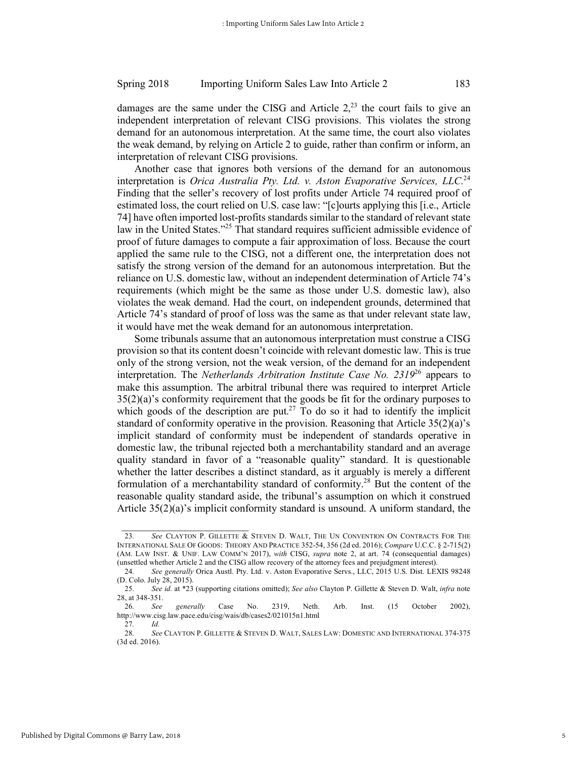damages are the same under the CISG and Article  $2<sup>23</sup>$  the court fails to give an independent interpretation of relevant CISG provisions. This violates the strong demand for an autonomous interpretation. At the same time, the court also violates the weak demand, by relying on Article 2 to guide, rather than confirm or inform, an interpretation of relevant CISG provisions.

Another case that ignores both versions of the demand for an autonomous interpretation is *Orica Australia Pty. Ltd. v. Aston Evaporative Services, LLC.*<sup>24</sup> Finding that the seller's recovery of lost profits under Article 74 required proof of estimated loss, the court relied on U.S. case law: "[c]ourts applying this [i.e., Article 74] have often imported lost-profits standards similar to the standard of relevant state law in the United States."<sup>25</sup> That standard requires sufficient admissible evidence of proof of future damages to compute a fair approximation of loss. Because the court applied the same rule to the CISG, not a different one, the interpretation does not satisfy the strong version of the demand for an autonomous interpretation. But the reliance on U.S. domestic law, without an independent determination of Article 74's requirements (which might be the same as those under U.S. domestic law), also violates the weak demand. Had the court, on independent grounds, determined that Article 74's standard of proof of loss was the same as that under relevant state law, it would have met the weak demand for an autonomous interpretation.

Some tribunals assume that an autonomous interpretation must construe a CISG provision so that its content doesn't coincide with relevant domestic law. This is true only of the strong version, not the weak version, of the demand for an independent interpretation. The *Netherlands Arbitration Institute Case No. 2319*<sup>26</sup> appears to make this assumption. The arbitral tribunal there was required to interpret Article 35(2)(a)'s conformity requirement that the goods be fit for the ordinary purposes to which goods of the description are put.<sup>27</sup> To do so it had to identify the implicit standard of conformity operative in the provision. Reasoning that Article 35(2)(a)'s implicit standard of conformity must be independent of standards operative in domestic law, the tribunal rejected both a merchantability standard and an average quality standard in favor of a "reasonable quality" standard. It is questionable whether the latter describes a distinct standard, as it arguably is merely a different formulation of a merchantability standard of conformity.28 But the content of the reasonable quality standard aside, the tribunal's assumption on which it construed Article  $35(2)(a)$ 's implicit conformity standard is unsound. A uniform standard, the

 $\frac{1}{2}$  ,  $\frac{1}{2}$  ,  $\frac{1}{2}$  ,  $\frac{1}{2}$  ,  $\frac{1}{2}$  ,  $\frac{1}{2}$  ,  $\frac{1}{2}$  ,  $\frac{1}{2}$  ,  $\frac{1}{2}$  ,  $\frac{1}{2}$  ,  $\frac{1}{2}$  ,  $\frac{1}{2}$  ,  $\frac{1}{2}$  ,  $\frac{1}{2}$  ,  $\frac{1}{2}$  ,  $\frac{1}{2}$  ,  $\frac{1}{2}$  ,  $\frac{1}{2}$  ,  $\frac{1$ 

<sup>23</sup>*. See* CLAYTON P. GILLETTE & STEVEN D. WALT, THE UN CONVENTION ON CONTRACTS FOR THE INTERNATIONAL SALE OF GOODS: THEORY AND PRACTICE 352-54, 356 (2d ed. 2016); *Compare* U.C.C. § 2-715(2) (AM. LAW INST. & UNIF. LAW COMM'N 2017), *with* CISG, *supra* note 2, at art. 74 (consequential damages) (unsettled whether Article 2 and the CISG allow recovery of the attorney fees and prejudgment interest).

<sup>24</sup>*. See generally* Orica Austl. Pty. Ltd. v. Aston Evaporative Servs., LLC, 2015 U.S. Dist. LEXIS 98248 (D. Colo. July 28, 2015).

<sup>25</sup>*. See id.* at \*23 (supporting citations omitted); *See also* Clayton P. Gillette & Steven D. Walt, *infra* note 28, at 348-351.

<sup>26</sup>*. See generally* Case No. 2319, Neth. Arb. Inst. (15 October 2002), http://www.cisg.law.pace.edu/cisg/wais/db/cases2/021015n1.html

<sup>27</sup>*. Id.* 28*. See* CLAYTON P. GILLETTE & STEVEN D. WALT, SALES LAW: DOMESTIC AND INTERNATIONAL 374-375 (3d ed. 2016).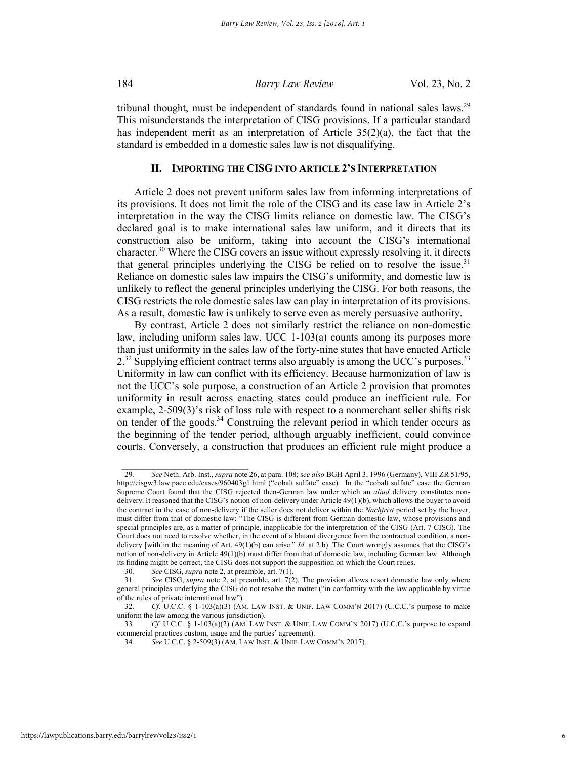tribunal thought, must be independent of standards found in national sales laws.<sup>29</sup> This misunderstands the interpretation of CISG provisions. If a particular standard has independent merit as an interpretation of Article 35(2)(a), the fact that the standard is embedded in a domestic sales law is not disqualifying.

# **II. IMPORTING THE CISG INTO ARTICLE 2'S INTERPRETATION**

Article 2 does not prevent uniform sales law from informing interpretations of its provisions. It does not limit the role of the CISG and its case law in Article 2's interpretation in the way the CISG limits reliance on domestic law. The CISG's declared goal is to make international sales law uniform, and it directs that its construction also be uniform, taking into account the CISG's international character.<sup>30</sup> Where the CISG covers an issue without expressly resolving it, it directs that general principles underlying the CISG be relied on to resolve the issue.<sup>31</sup> Reliance on domestic sales law impairs the CISG's uniformity, and domestic law is unlikely to reflect the general principles underlying the CISG. For both reasons, the CISG restricts the role domestic sales law can play in interpretation of its provisions. As a result, domestic law is unlikely to serve even as merely persuasive authority.

By contrast, Article 2 does not similarly restrict the reliance on non-domestic law, including uniform sales law. UCC 1-103(a) counts among its purposes more than just uniformity in the sales law of the forty-nine states that have enacted Article  $2<sup>32</sup>$  Supplying efficient contract terms also arguably is among the UCC's purposes.<sup>33</sup> Uniformity in law can conflict with its efficiency. Because harmonization of law is not the UCC's sole purpose, a construction of an Article 2 provision that promotes uniformity in result across enacting states could produce an inefficient rule. For example, 2-509(3)'s risk of loss rule with respect to a nonmerchant seller shifts risk on tender of the goods. $34$  Construing the relevant period in which tender occurs as the beginning of the tender period, although arguably inefficient, could convince courts. Conversely, a construction that produces an efficient rule might produce a

<sup>29</sup>*. See* Neth. Arb. Inst., *supra* note 26, at para. 108; s*ee also* BGH April 3, 1996 (Germany), VIII ZR 51/95, http://cisgw3.law.pace.edu/cases/960403g1.html ("cobalt sulfate" case). In the "cobalt sulfate" case the German Supreme Court found that the CISG rejected then-German law under which an *aliud* delivery constitutes nondelivery. It reasoned that the CISG's notion of non-delivery under Article 49(1)(b), which allows the buyer to avoid the contract in the case of non-delivery if the seller does not deliver within the *Nachfrist* period set by the buyer, must differ from that of domestic law: "The CISG is different from German domestic law, whose provisions and special principles are, as a matter of principle, inapplicable for the interpretation of the CISG (Art. 7 CISG). The Court does not need to resolve whether, in the event of a blatant divergence from the contractual condition, a nondelivery [with]in the meaning of Art. 49(1)(b) can arise." *Id.* at 2.b). The Court wrongly assumes that the CISG's notion of non-delivery in Article 49(1)(b) must differ from that of domestic law, including German law. Although its finding might be correct, the CISG does not support the supposition on which the Court relies.

<sup>30</sup>*. See* CISG, *supra* note 2, at preamble, art. 7(1).

<sup>31</sup>*. See* CISG, *supra* note 2, at preamble, art. 7(2). The provision allows resort domestic law only where general principles underlying the CISG do not resolve the matter ("in conformity with the law applicable by virtue of the rules of private international law").

<sup>32</sup>*. Cf*. U.C.C. § 1-103(a)(3) (AM. LAW INST. & UNIF. LAW COMM'N 2017) (U.C.C.'s purpose to make uniform the law among the various jurisdiction).

<sup>33</sup>*. Cf.* U.C.C. § 1-103(a)(2) (AM. LAW INST. & UNIF. LAW COMM'N 2017) (U.C.C.'s purpose to expand commercial practices custom, usage and the parties' agreement).

<sup>34</sup>*. See* U.C.C. § 2-509(3) (AM. LAW INST. & UNIF. LAW COMM'N 2017).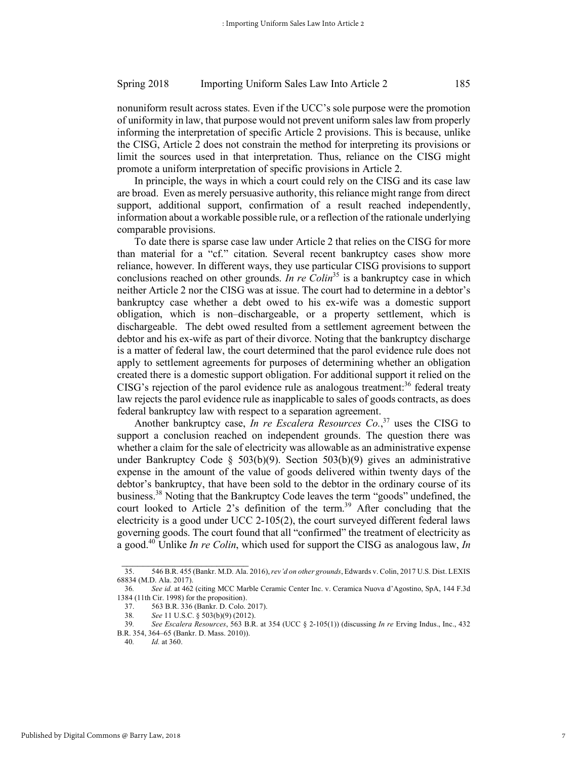nonuniform result across states. Even if the UCC's sole purpose were the promotion of uniformity in law, that purpose would not prevent uniform sales law from properly informing the interpretation of specific Article 2 provisions. This is because, unlike the CISG, Article 2 does not constrain the method for interpreting its provisions or limit the sources used in that interpretation. Thus, reliance on the CISG might promote a uniform interpretation of specific provisions in Article 2.

In principle, the ways in which a court could rely on the CISG and its case law are broad. Even as merely persuasive authority, this reliance might range from direct support, additional support, confirmation of a result reached independently, information about a workable possible rule, or a reflection of the rationale underlying comparable provisions.

To date there is sparse case law under Article 2 that relies on the CISG for more than material for a "cf." citation. Several recent bankruptcy cases show more reliance, however. In different ways, they use particular CISG provisions to support conclusions reached on other grounds. *In re Colin*<sup>35</sup> is a bankruptcy case in which neither Article 2 nor the CISG was at issue. The court had to determine in a debtor's bankruptcy case whether a debt owed to his ex-wife was a domestic support obligation, which is non–dischargeable, or a property settlement, which is dischargeable. The debt owed resulted from a settlement agreement between the debtor and his ex-wife as part of their divorce. Noting that the bankruptcy discharge is a matter of federal law, the court determined that the parol evidence rule does not apply to settlement agreements for purposes of determining whether an obligation created there is a domestic support obligation. For additional support it relied on the CISG's rejection of the parol evidence rule as analogous treatment:<sup>36</sup> federal treaty law rejects the parol evidence rule as inapplicable to sales of goods contracts, as does federal bankruptcy law with respect to a separation agreement.

Another bankruptcy case, *In re Escalera Resources Co.*, <sup>37</sup> uses the CISG to support a conclusion reached on independent grounds. The question there was whether a claim for the sale of electricity was allowable as an administrative expense under Bankruptcy Code § 503(b)(9). Section 503(b)(9) gives an administrative expense in the amount of the value of goods delivered within twenty days of the debtor's bankruptcy, that have been sold to the debtor in the ordinary course of its business.38 Noting that the Bankruptcy Code leaves the term "goods" undefined, the court looked to Article 2's definition of the term.<sup>39</sup> After concluding that the electricity is a good under UCC 2-105(2), the court surveyed different federal laws governing goods. The court found that all "confirmed" the treatment of electricity as a good.40 Unlike *In re Colin*, which used for support the CISG as analogous law, *In* 

<sup>35.</sup> 546 B.R. 455 (Bankr. M.D. Ala. 2016), *rev'd on other grounds*, Edwards v. Colin, 2017 U.S. Dist. LEXIS 68834 (M.D. Ala. 2017).

<sup>36</sup>*. See id.* at 462 (citing MCC Marble Ceramic Center Inc. v. Ceramica Nuova d'Agostino, SpA, 144 F.3d 1384 (11th Cir. 1998) for the proposition).

<sup>37. 563</sup> B.R. 336 (Bankr. D. Colo. 2017).<br>38. See 11 U.S.C. § 503(b)(9) (2012).

<sup>38</sup>*. See* 11 U.S.C. § 503(b)(9) (2012).

<sup>39</sup>*. See Escalera Resources*, 563 B.R. at 354 (UCC § 2-105(1)) (discussing *In re* Erving Indus., Inc., 432 B.R. 354, 364–65 (Bankr. D. Mass. 2010)).

<sup>40</sup>*. Id.* at 360.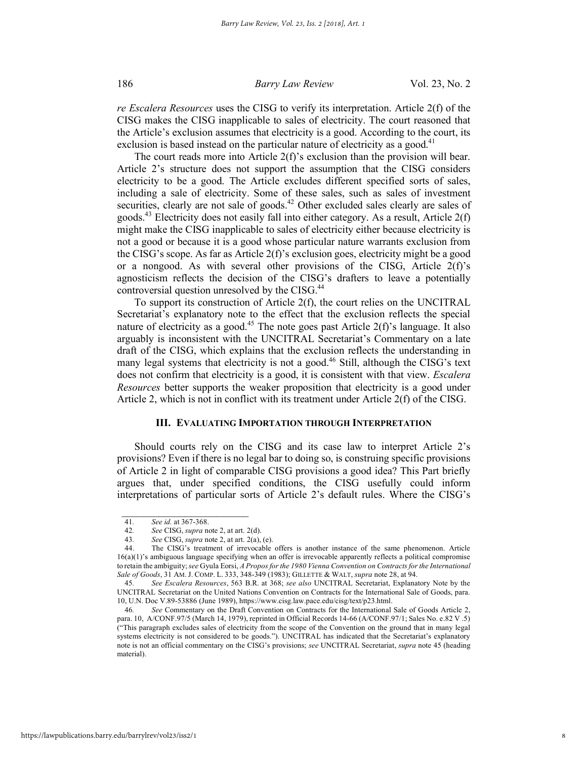*re Escalera Resources* uses the CISG to verify its interpretation. Article 2(f) of the CISG makes the CISG inapplicable to sales of electricity. The court reasoned that the Article's exclusion assumes that electricity is a good. According to the court, its exclusion is based instead on the particular nature of electricity as a good.<sup>41</sup>

The court reads more into Article  $2(f)$ 's exclusion than the provision will bear. Article 2's structure does not support the assumption that the CISG considers electricity to be a good. The Article excludes different specified sorts of sales, including a sale of electricity. Some of these sales, such as sales of investment securities, clearly are not sale of goods.<sup>42</sup> Other excluded sales clearly are sales of goods.43 Electricity does not easily fall into either category. As a result, Article 2(f) might make the CISG inapplicable to sales of electricity either because electricity is not a good or because it is a good whose particular nature warrants exclusion from the CISG's scope. As far as Article 2(f)'s exclusion goes, electricity might be a good or a nongood. As with several other provisions of the CISG, Article 2(f)'s agnosticism reflects the decision of the CISG's drafters to leave a potentially controversial question unresolved by the CISG.<sup>44</sup>

To support its construction of Article 2(f), the court relies on the UNCITRAL Secretariat's explanatory note to the effect that the exclusion reflects the special nature of electricity as a good.<sup>45</sup> The note goes past Article  $2(f)$ 's language. It also arguably is inconsistent with the UNCITRAL Secretariat's Commentary on a late draft of the CISG, which explains that the exclusion reflects the understanding in many legal systems that electricity is not a good.<sup>46</sup> Still, although the CISG's text does not confirm that electricity is a good, it is consistent with that view. *Escalera Resources* better supports the weaker proposition that electricity is a good under Article 2, which is not in conflict with its treatment under Article 2(f) of the CISG.

# **III. EVALUATING IMPORTATION THROUGH INTERPRETATION**

Should courts rely on the CISG and its case law to interpret Article 2's provisions? Even if there is no legal bar to doing so, is construing specific provisions of Article 2 in light of comparable CISG provisions a good idea? This Part briefly argues that, under specified conditions, the CISG usefully could inform interpretations of particular sorts of Article 2's default rules. Where the CISG's

<sup>41</sup>*. See id.* at 367-368.

<sup>42</sup>*. See* CISG, *supra* note 2, at art. 2(d).

<sup>43</sup>*. See* CISG, *supra* note 2, at art. 2(a), (e).

<sup>44.</sup> The CISG's treatment of irrevocable offers is another instance of the same phenomenon. Article 16(a)(1)'s ambiguous language specifying when an offer is irrevocable apparently reflects a political compromise to retain the ambiguity; *see* Gyula Eorsi, *A Propos for the 1980 Vienna Convention on Contracts for the International Sale of Goods*, 31 AM. J. COMP. L. 333, 348-349 (1983); GILLETTE & WALT, *supra* note 28, at 94.

<sup>45</sup>*. See Escalera Resources*, 563 B.R. at 368; *see also* UNCITRAL Secretariat, Explanatory Note by the UNCITRAL Secretariat on the United Nations Convention on Contracts for the International Sale of Goods, para. 10, U.N. Doc V.89-53886 (June 1989), https://www.cisg.law.pace.edu/cisg/text/p23.html.

<sup>46</sup>*. See* Commentary on the Draft Convention on Contracts for the International Sale of Goods Article 2, para. 10, A/CONF.97/5 (March 14, 1979), reprinted in Official Records 14-66 (A/CONF.97/1; Sales No. e.82 V .5) ("This paragraph excludes sales of electricity from the scope of the Convention on the ground that in many legal systems electricity is not considered to be goods."). UNCITRAL has indicated that the Secretariat's explanatory note is not an official commentary on the CISG's provisions; *see* UNCITRAL Secretariat, *supra* note 45 (heading material).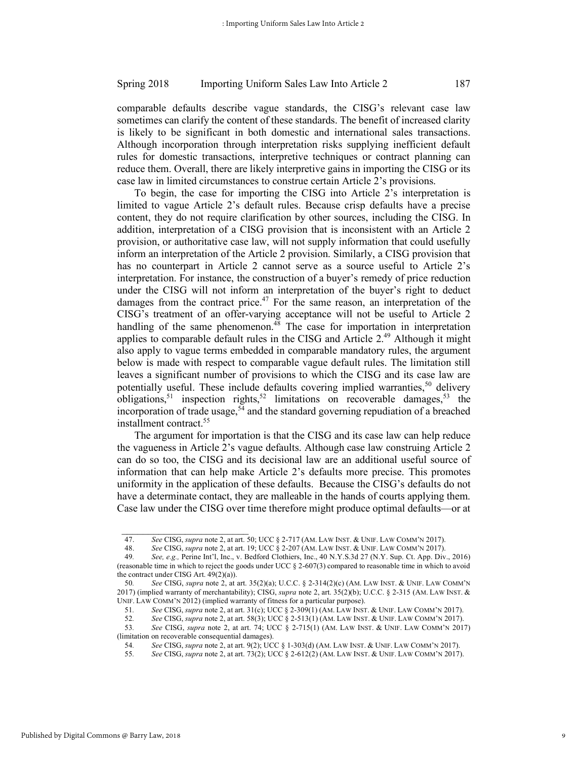comparable defaults describe vague standards, the CISG's relevant case law sometimes can clarify the content of these standards. The benefit of increased clarity is likely to be significant in both domestic and international sales transactions. Although incorporation through interpretation risks supplying inefficient default rules for domestic transactions, interpretive techniques or contract planning can reduce them. Overall, there are likely interpretive gains in importing the CISG or its case law in limited circumstances to construe certain Article 2's provisions.

To begin, the case for importing the CISG into Article 2's interpretation is limited to vague Article 2's default rules. Because crisp defaults have a precise content, they do not require clarification by other sources, including the CISG. In addition, interpretation of a CISG provision that is inconsistent with an Article 2 provision, or authoritative case law, will not supply information that could usefully inform an interpretation of the Article 2 provision. Similarly, a CISG provision that has no counterpart in Article 2 cannot serve as a source useful to Article 2's interpretation. For instance, the construction of a buyer's remedy of price reduction under the CISG will not inform an interpretation of the buyer's right to deduct damages from the contract price.<sup>47</sup> For the same reason, an interpretation of the CISG's treatment of an offer-varying acceptance will not be useful to Article 2 handling of the same phenomenon.<sup>48</sup> The case for importation in interpretation applies to comparable default rules in the CISG and Article  $2<sup>49</sup>$  Although it might also apply to vague terms embedded in comparable mandatory rules, the argument below is made with respect to comparable vague default rules. The limitation still leaves a significant number of provisions to which the CISG and its case law are potentially useful. These include defaults covering implied warranties,<sup>50</sup> delivery obligations,<sup>51</sup> inspection rights,<sup>52</sup> limitations on recoverable damages,<sup>53</sup> the incorporation of trade usage,<sup>54</sup> and the standard governing repudiation of a breached installment contract.<sup>55</sup>

The argument for importation is that the CISG and its case law can help reduce the vagueness in Article 2's vague defaults. Although case law construing Article 2 can do so too, the CISG and its decisional law are an additional useful source of information that can help make Article 2's defaults more precise. This promotes uniformity in the application of these defaults. Because the CISG's defaults do not have a determinate contact, they are malleable in the hands of courts applying them. Case law under the CISG over time therefore might produce optimal defaults—or at

<sup>47.</sup> *See* CISG, *supra* note 2, at art. 50; UCC § 2-717 (AM. LAW INST. & UNIF. LAW COMM'N 2017).

<sup>48.</sup> *See* CISG, *supra* note 2, at art. 19; UCC § 2-207 (AM. LAW INST. & UNIF. LAW COMM'N 2017).

<sup>49</sup>*. See, e.g.,* Perine Int'l, Inc., v. Bedford Clothiers, Inc., 40 N.Y.S.3d 27 (N.Y. Sup. Ct. App. Div., 2016) (reasonable time in which to reject the goods under UCC § 2-607(3) compared to reasonable time in which to avoid the contract under CISG Art.  $49(2)(a)$ ).

<sup>50</sup>*. See* CISG, *supra* note 2, at art. 35(2)(a); U.C.C. § 2-314(2)(c) (AM. LAW INST. & UNIF. LAW COMM'N 2017) (implied warranty of merchantability); CISG, *supra* note 2, art. 35(2)(b); U.C.C. § 2-315 (AM. LAW INST. & UNIF. LAW COMM'N 2012) (implied warranty of fitness for a particular purpose).

<sup>51</sup>*. See* CISG, *supra* note 2, at art. 31(c); UCC § 2-309(1) (AM. LAW INST. & UNIF. LAW COMM'N 2017).

<sup>52</sup>*. See* CISG, *supra* note 2, at art. 58(3); UCC § 2-513(1) (AM. LAW INST. & UNIF. LAW COMM'N 2017).

<sup>53</sup>*. See* CISG, *supra* note 2, at art. 74; UCC § 2-715(1) (AM. LAW INST. & UNIF. LAW COMM'N 2017) (limitation on recoverable consequential damages).

<sup>54</sup>*. See* CISG, *supra* note 2, at art. 9(2); UCC § 1-303(d) (AM. LAW INST. & UNIF. LAW COMM'N 2017).

<sup>55</sup>*. See* CISG, *supra* note 2, at art. 73(2); UCC § 2-612(2) (AM. LAW INST. & UNIF. LAW COMM'N 2017).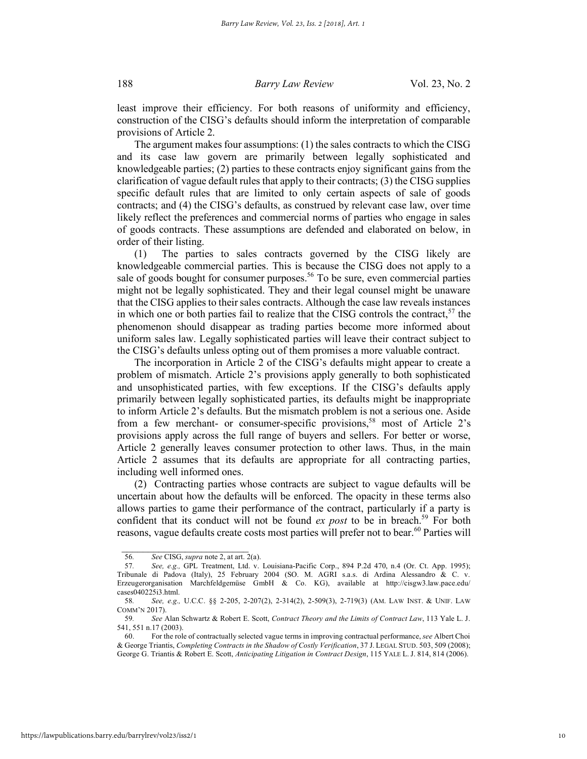least improve their efficiency. For both reasons of uniformity and efficiency, construction of the CISG's defaults should inform the interpretation of comparable provisions of Article 2.

The argument makes four assumptions: (1) the sales contracts to which the CISG and its case law govern are primarily between legally sophisticated and knowledgeable parties; (2) parties to these contracts enjoy significant gains from the clarification of vague default rules that apply to their contracts; (3) the CISG supplies specific default rules that are limited to only certain aspects of sale of goods contracts; and (4) the CISG's defaults, as construed by relevant case law, over time likely reflect the preferences and commercial norms of parties who engage in sales of goods contracts. These assumptions are defended and elaborated on below, in order of their listing.

(1) The parties to sales contracts governed by the CISG likely are knowledgeable commercial parties. This is because the CISG does not apply to a sale of goods bought for consumer purposes.<sup>56</sup> To be sure, even commercial parties might not be legally sophisticated. They and their legal counsel might be unaware that the CISG applies to their sales contracts. Although the case law reveals instances in which one or both parties fail to realize that the CISG controls the contract,  $57$  the phenomenon should disappear as trading parties become more informed about uniform sales law. Legally sophisticated parties will leave their contract subject to the CISG's defaults unless opting out of them promises a more valuable contract.

The incorporation in Article 2 of the CISG's defaults might appear to create a problem of mismatch. Article 2's provisions apply generally to both sophisticated and unsophisticated parties, with few exceptions. If the CISG's defaults apply primarily between legally sophisticated parties, its defaults might be inappropriate to inform Article 2's defaults. But the mismatch problem is not a serious one. Aside from a few merchant- or consumer-specific provisions,<sup>58</sup> most of Article 2's provisions apply across the full range of buyers and sellers. For better or worse, Article 2 generally leaves consumer protection to other laws. Thus, in the main Article 2 assumes that its defaults are appropriate for all contracting parties, including well informed ones.

(2) Contracting parties whose contracts are subject to vague defaults will be uncertain about how the defaults will be enforced. The opacity in these terms also allows parties to game their performance of the contract, particularly if a party is confident that its conduct will not be found  $ex$  *post* to be in breach.<sup>59</sup> For both reasons, vague defaults create costs most parties will prefer not to bear.<sup>60</sup> Parties will

 $\mathcal{L}_\text{max}$ 56*. See* CISG, *supra* note 2, at art. 2(a).

<sup>57</sup>*. See, e.g.,* GPL Treatment, Ltd. v. Louisiana-Pacific Corp., 894 P.2d 470, n.4 (Or. Ct. App. 1995); Tribunale di Padova (Italy), 25 February 2004 (SO. M. AGRI s.a.s. di Ardina Alessandro & C. v. Erzeugerorganisation Marchfeldgemüse GmbH & Co. KG), available at http://cisgw3.law.pace.edu/ cases040225i3.html.

<sup>58</sup>*. See, e.g.,* U.C.C. §§ 2-205, 2-207(2), 2-314(2), 2-509(3), 2-719(3) (AM. LAW INST. & UNIF. LAW COMM'N 2017).

<sup>59</sup>*. See* Alan Schwartz & Robert E. Scott, *Contract Theory and the Limits of Contract Law*, 113 Yale L. J. 541, 551 n.17 (2003).

<sup>60.</sup> For the role of contractually selected vague terms in improving contractual performance, *see* Albert Choi & George Triantis, *Completing Contracts in the Shadow of Costly Verification*, 37 J. LEGAL STUD. 503, 509 (2008); George G. Triantis & Robert E. Scott, *Anticipating Litigation in Contract Design*, 115 YALE L. J. 814, 814 (2006).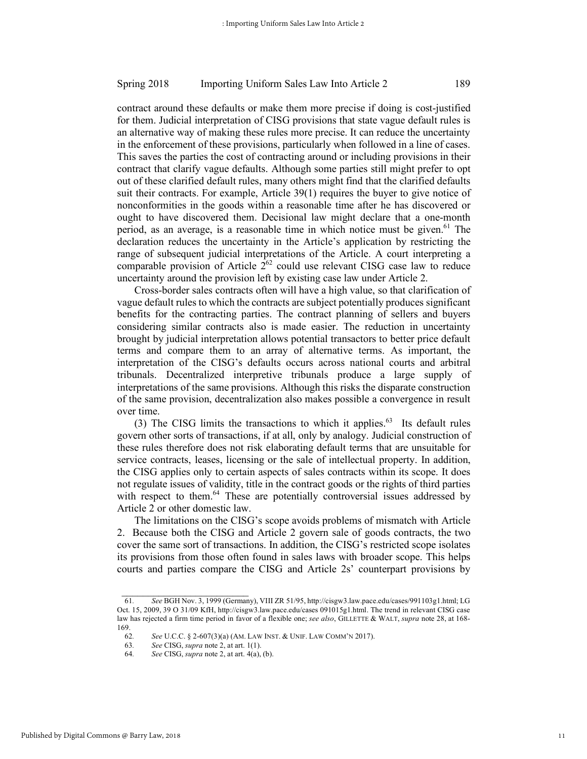contract around these defaults or make them more precise if doing is cost-justified for them. Judicial interpretation of CISG provisions that state vague default rules is an alternative way of making these rules more precise. It can reduce the uncertainty in the enforcement of these provisions, particularly when followed in a line of cases. This saves the parties the cost of contracting around or including provisions in their contract that clarify vague defaults. Although some parties still might prefer to opt out of these clarified default rules, many others might find that the clarified defaults suit their contracts. For example, Article 39(1) requires the buyer to give notice of nonconformities in the goods within a reasonable time after he has discovered or ought to have discovered them. Decisional law might declare that a one-month period, as an average, is a reasonable time in which notice must be given.<sup>61</sup> The declaration reduces the uncertainty in the Article's application by restricting the range of subsequent judicial interpretations of the Article. A court interpreting a comparable provision of Article  $2^{62}$  could use relevant CISG case law to reduce uncertainty around the provision left by existing case law under Article 2.

Cross-border sales contracts often will have a high value, so that clarification of vague default rules to which the contracts are subject potentially produces significant benefits for the contracting parties. The contract planning of sellers and buyers considering similar contracts also is made easier. The reduction in uncertainty brought by judicial interpretation allows potential transactors to better price default terms and compare them to an array of alternative terms. As important, the interpretation of the CISG's defaults occurs across national courts and arbitral tribunals. Decentralized interpretive tribunals produce a large supply of interpretations of the same provisions. Although this risks the disparate construction of the same provision, decentralization also makes possible a convergence in result over time.

(3) The CISG limits the transactions to which it applies.<sup>63</sup> Its default rules govern other sorts of transactions, if at all, only by analogy. Judicial construction of these rules therefore does not risk elaborating default terms that are unsuitable for service contracts, leases, licensing or the sale of intellectual property. In addition, the CISG applies only to certain aspects of sales contracts within its scope. It does not regulate issues of validity, title in the contract goods or the rights of third parties with respect to them.<sup>64</sup> These are potentially controversial issues addressed by Article 2 or other domestic law.

The limitations on the CISG's scope avoids problems of mismatch with Article 2. Because both the CISG and Article 2 govern sale of goods contracts, the two cover the same sort of transactions. In addition, the CISG's restricted scope isolates its provisions from those often found in sales laws with broader scope. This helps courts and parties compare the CISG and Article 2s' counterpart provisions by

 $\frac{1}{2}$  ,  $\frac{1}{2}$  ,  $\frac{1}{2}$  ,  $\frac{1}{2}$  ,  $\frac{1}{2}$  ,  $\frac{1}{2}$  ,  $\frac{1}{2}$  ,  $\frac{1}{2}$  ,  $\frac{1}{2}$  ,  $\frac{1}{2}$  ,  $\frac{1}{2}$  ,  $\frac{1}{2}$  ,  $\frac{1}{2}$  ,  $\frac{1}{2}$  ,  $\frac{1}{2}$  ,  $\frac{1}{2}$  ,  $\frac{1}{2}$  ,  $\frac{1}{2}$  ,  $\frac{1$ 

<sup>61</sup>*. See* BGH Nov. 3, 1999 (Germany), VIII ZR 51/95, http://cisgw3.law.pace.edu/cases/991103g1.html; LG Oct. 15, 2009, 39 O 31/09 KfH, http://cisgw3.law.pace.edu/cases 091015g1.html. The trend in relevant CISG case law has rejected a firm time period in favor of a flexible one; *see also*, GILLETTE & WALT, *supra* note 28, at 168- 169.

<sup>62</sup>*. See* U.C.C. § 2-607(3)(a) (AM. LAW INST. & UNIF. LAW COMM'N 2017).

<sup>63</sup>*. See* CISG, *supra* note 2, at art. 1(1).

<sup>64</sup>*. See* CISG, *supra* note 2, at art. 4(a), (b).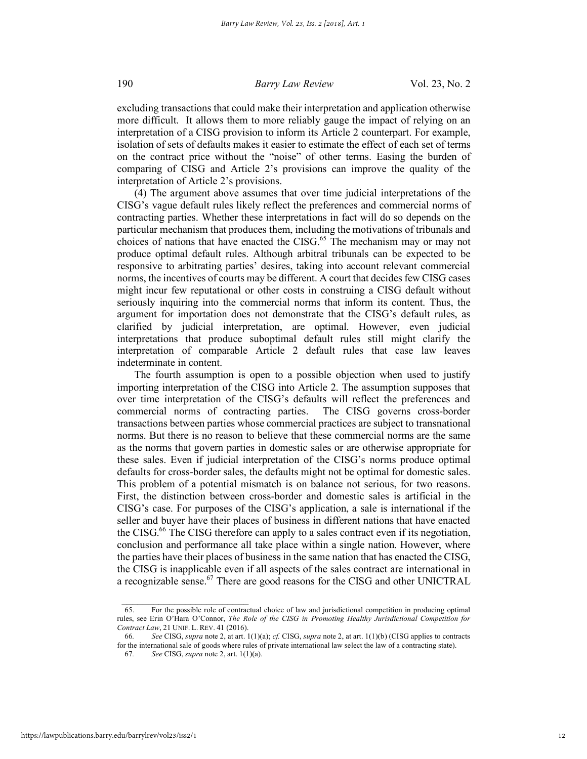excluding transactions that could make their interpretation and application otherwise more difficult. It allows them to more reliably gauge the impact of relying on an interpretation of a CISG provision to inform its Article 2 counterpart. For example, isolation of sets of defaults makes it easier to estimate the effect of each set of terms on the contract price without the "noise" of other terms. Easing the burden of comparing of CISG and Article 2's provisions can improve the quality of the interpretation of Article 2's provisions.

(4) The argument above assumes that over time judicial interpretations of the CISG's vague default rules likely reflect the preferences and commercial norms of contracting parties. Whether these interpretations in fact will do so depends on the particular mechanism that produces them, including the motivations of tribunals and choices of nations that have enacted the CISG.<sup>65</sup> The mechanism may or may not produce optimal default rules. Although arbitral tribunals can be expected to be responsive to arbitrating parties' desires, taking into account relevant commercial norms, the incentives of courts may be different. A court that decides few CISG cases might incur few reputational or other costs in construing a CISG default without seriously inquiring into the commercial norms that inform its content. Thus, the argument for importation does not demonstrate that the CISG's default rules, as clarified by judicial interpretation, are optimal. However, even judicial interpretations that produce suboptimal default rules still might clarify the interpretation of comparable Article 2 default rules that case law leaves indeterminate in content.

The fourth assumption is open to a possible objection when used to justify importing interpretation of the CISG into Article 2. The assumption supposes that over time interpretation of the CISG's defaults will reflect the preferences and commercial norms of contracting parties. The CISG governs cross-border transactions between parties whose commercial practices are subject to transnational norms. But there is no reason to believe that these commercial norms are the same as the norms that govern parties in domestic sales or are otherwise appropriate for these sales. Even if judicial interpretation of the CISG's norms produce optimal defaults for cross-border sales, the defaults might not be optimal for domestic sales. This problem of a potential mismatch is on balance not serious, for two reasons. First, the distinction between cross-border and domestic sales is artificial in the CISG's case. For purposes of the CISG's application, a sale is international if the seller and buyer have their places of business in different nations that have enacted the CISG.<sup>66</sup> The CISG therefore can apply to a sales contract even if its negotiation, conclusion and performance all take place within a single nation. However, where the parties have their places of business in the same nation that has enacted the CISG, the CISG is inapplicable even if all aspects of the sales contract are international in a recognizable sense.<sup>67</sup> There are good reasons for the CISG and other UNICTRAL

<sup>65.</sup> For the possible role of contractual choice of law and jurisdictional competition in producing optimal rules, see Erin O'Hara O'Connor, *The Role of the CISG in Promoting Healthy Jurisdictional Competition for Contract Law*, 21 UNIF. L. REV. 41 (2016).

<sup>66</sup>*. See* CISG, *supra* note 2, at art. 1(1)(a); *cf.* CISG, *supra* note 2, at art. 1(1)(b) (CISG applies to contracts for the international sale of goods where rules of private international law select the law of a contracting state).

<sup>67</sup>*. See* CISG, *supra* note 2, art. 1(1)(a).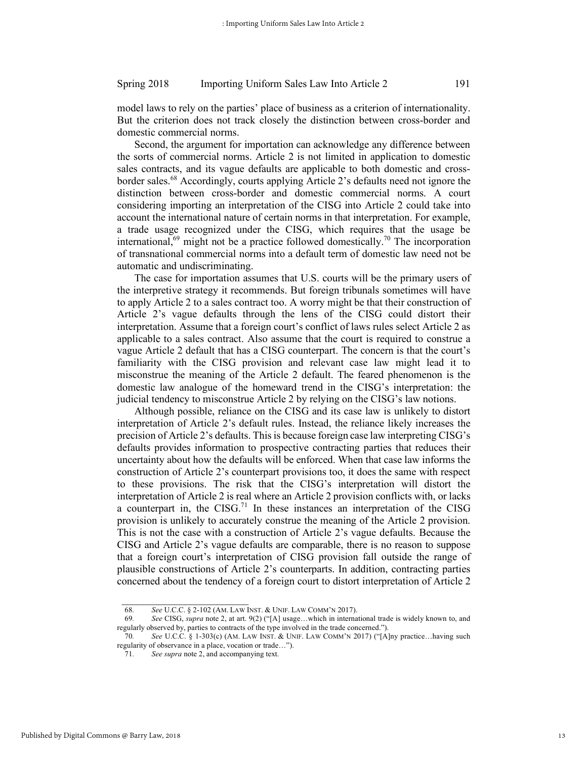model laws to rely on the parties' place of business as a criterion of internationality. But the criterion does not track closely the distinction between cross-border and domestic commercial norms.

Second, the argument for importation can acknowledge any difference between the sorts of commercial norms. Article 2 is not limited in application to domestic sales contracts, and its vague defaults are applicable to both domestic and crossborder sales.<sup>68</sup> Accordingly, courts applying Article 2's defaults need not ignore the distinction between cross-border and domestic commercial norms. A court considering importing an interpretation of the CISG into Article 2 could take into account the international nature of certain norms in that interpretation. For example, a trade usage recognized under the CISG, which requires that the usage be international,<sup>69</sup> might not be a practice followed domestically.<sup>70</sup> The incorporation of transnational commercial norms into a default term of domestic law need not be automatic and undiscriminating.

The case for importation assumes that U.S. courts will be the primary users of the interpretive strategy it recommends. But foreign tribunals sometimes will have to apply Article 2 to a sales contract too. A worry might be that their construction of Article 2's vague defaults through the lens of the CISG could distort their interpretation. Assume that a foreign court's conflict of laws rules select Article 2 as applicable to a sales contract. Also assume that the court is required to construe a vague Article 2 default that has a CISG counterpart. The concern is that the court's familiarity with the CISG provision and relevant case law might lead it to misconstrue the meaning of the Article 2 default. The feared phenomenon is the domestic law analogue of the homeward trend in the CISG's interpretation: the judicial tendency to misconstrue Article 2 by relying on the CISG's law notions.

Although possible, reliance on the CISG and its case law is unlikely to distort interpretation of Article 2's default rules. Instead, the reliance likely increases the precision of Article 2's defaults. This is because foreign case law interpreting CISG's defaults provides information to prospective contracting parties that reduces their uncertainty about how the defaults will be enforced. When that case law informs the construction of Article 2's counterpart provisions too, it does the same with respect to these provisions. The risk that the CISG's interpretation will distort the interpretation of Article 2 is real where an Article 2 provision conflicts with, or lacks a counterpart in, the  $CISG<sup>71</sup>$  In these instances an interpretation of the CISG provision is unlikely to accurately construe the meaning of the Article 2 provision. This is not the case with a construction of Article 2's vague defaults. Because the CISG and Article 2's vague defaults are comparable, there is no reason to suppose that a foreign court's interpretation of CISG provision fall outside the range of plausible constructions of Article 2's counterparts. In addition, contracting parties concerned about the tendency of a foreign court to distort interpretation of Article 2

<sup>68</sup>*. See* U.C.C. § 2-102 (AM. LAW INST. & UNIF. LAW COMM'N 2017).

<sup>69</sup>*. See* CISG, *supra* note 2, at art. 9(2) ("[A] usage…which in international trade is widely known to, and regularly observed by, parties to contracts of the type involved in the trade concerned.").

<sup>70</sup>*. See* U.C.C. § 1-303(c) (AM. LAW INST. & UNIF. LAW COMM'N 2017) ("[A]ny practice…having such regularity of observance in a place, vocation or trade…").

<sup>71</sup>*. See supra* note 2, and accompanying text.